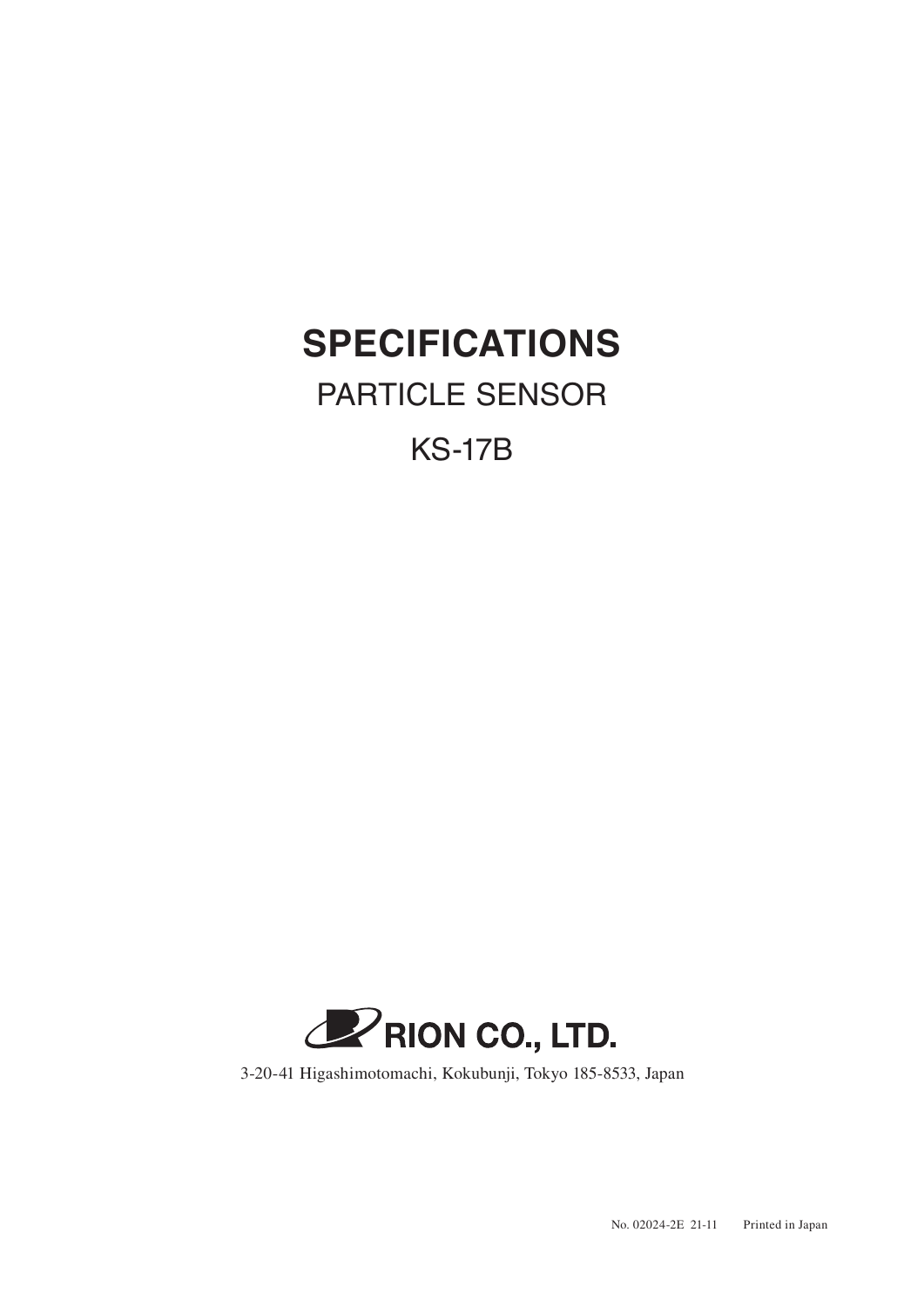## **SPECIFICATIONS**

## PARTICLE SENSOR

KS-17B



3-20-41 Higashimotomachi, Kokubunji, Tokyo 185-8533, Japan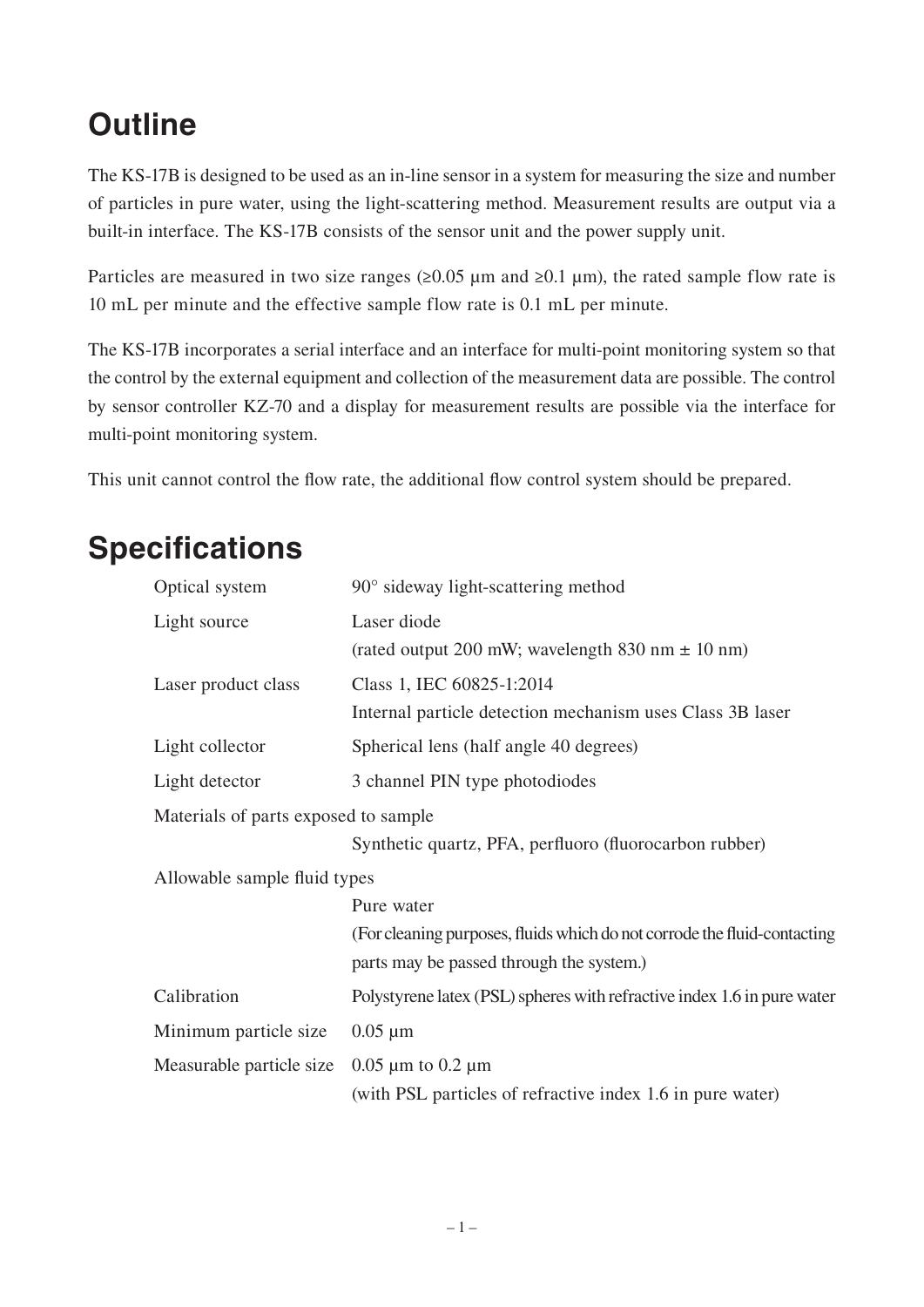## **Outline**

The KS-17B is designed to be used as an in-line sensor in a system for measuring the size and number of particles in pure water, using the light-scattering method. Measurement results are output via a built-in interface. The KS-17B consists of the sensor unit and the power supply unit.

Particles are measured in two size ranges  $(\geq 0.05 \,\mu\text{m}$  and  $\geq 0.1 \,\mu\text{m})$ , the rated sample flow rate is 10 mL per minute and the effective sample flow rate is 0.1 mL per minute.

The KS-17B incorporates a serial interface and an interface for multi-point monitoring system so that the control by the external equipment and collection of the measurement data are possible. The control by sensor controller KZ-70 and a display for measurement results are possible via the interface for multi-point monitoring system.

This unit cannot control the flow rate, the additional flow control system should be prepared.

## **Specifications**

| Optical system                       | $90^\circ$ sideway light-scattering method                                                                           |  |  |
|--------------------------------------|----------------------------------------------------------------------------------------------------------------------|--|--|
| Light source                         | Laser diode<br>(rated output 200 mW; wavelength 830 nm $\pm$ 10 nm)                                                  |  |  |
| Laser product class                  | Class 1, IEC 60825-1:2014<br>Internal particle detection mechanism uses Class 3B laser                               |  |  |
| Light collector                      | Spherical lens (half angle 40 degrees)                                                                               |  |  |
| Light detector                       | 3 channel PIN type photodiodes                                                                                       |  |  |
| Materials of parts exposed to sample |                                                                                                                      |  |  |
|                                      | Synthetic quartz, PFA, perfluoro (fluorocarbon rubber)                                                               |  |  |
| Allowable sample fluid types         |                                                                                                                      |  |  |
|                                      | Pure water                                                                                                           |  |  |
|                                      | (For cleaning purposes, fluids which do not corrode the fluid-contacting<br>parts may be passed through the system.) |  |  |
| Calibration                          | Polystyrene latex (PSL) spheres with refractive index 1.6 in pure water                                              |  |  |
| Minimum particle size                | $0.05 \mu m$                                                                                                         |  |  |
| Measurable particle size             | $0.05 \mu m$ to $0.2 \mu m$<br>(with PSL particles of refractive index 1.6 in pure water)                            |  |  |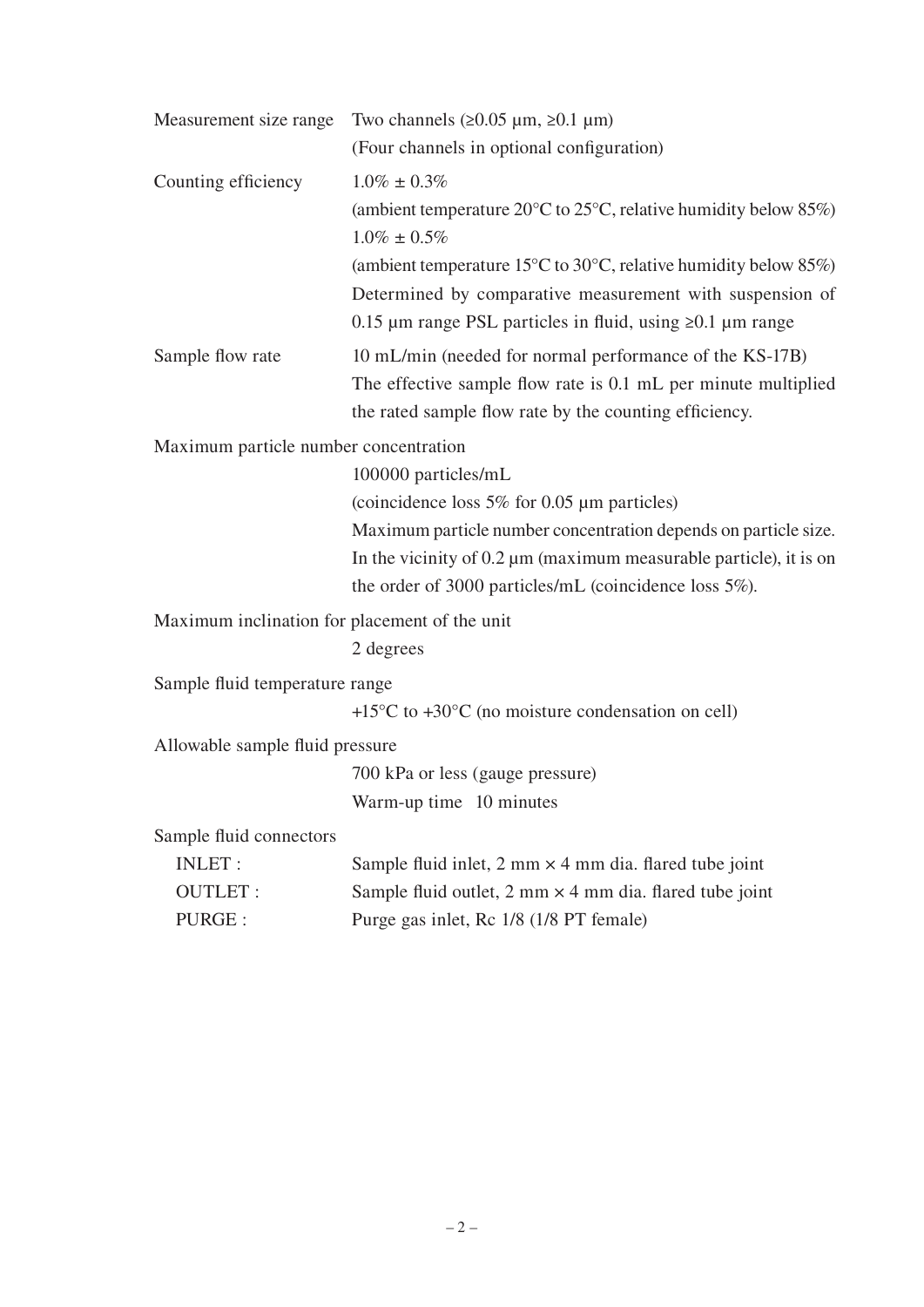| Measurement size range                        | Two channels $(20.05 \mu m, 20.1 \mu m)$                                                                 |
|-----------------------------------------------|----------------------------------------------------------------------------------------------------------|
|                                               | (Four channels in optional configuration)                                                                |
| Counting efficiency                           | $1.0\% \pm 0.3\%$                                                                                        |
|                                               | (ambient temperature 20 $\degree$ C to 25 $\degree$ C, relative humidity below 85%)<br>$1.0\% \pm 0.5\%$ |
|                                               | (ambient temperature 15 $\degree$ C to 30 $\degree$ C, relative humidity below 85%)                      |
|                                               | Determined by comparative measurement with suspension of                                                 |
|                                               | 0.15 $\mu$ m range PSL particles in fluid, using $\geq 0.1$ $\mu$ m range                                |
| Sample flow rate                              | 10 mL/min (needed for normal performance of the KS-17B)                                                  |
|                                               | The effective sample flow rate is 0.1 mL per minute multiplied                                           |
|                                               | the rated sample flow rate by the counting efficiency.                                                   |
| Maximum particle number concentration         |                                                                                                          |
|                                               | 100000 particles/mL                                                                                      |
|                                               | (coincidence loss $5\%$ for 0.05 µm particles)                                                           |
|                                               | Maximum particle number concentration depends on particle size.                                          |
|                                               | In the vicinity of $0.2 \mu m$ (maximum measurable particle), it is on                                   |
|                                               | the order of 3000 particles/mL (coincidence loss 5%).                                                    |
| Maximum inclination for placement of the unit |                                                                                                          |
|                                               | 2 degrees                                                                                                |
| Sample fluid temperature range                |                                                                                                          |
|                                               | $+15^{\circ}$ C to $+30^{\circ}$ C (no moisture condensation on cell)                                    |
| Allowable sample fluid pressure               |                                                                                                          |
|                                               | 700 kPa or less (gauge pressure)                                                                         |
|                                               | Warm-up time 10 minutes                                                                                  |
| Sample fluid connectors                       |                                                                                                          |
| <b>INLET:</b>                                 | Sample fluid inlet, $2 \text{ mm} \times 4 \text{ mm}$ dia. flared tube joint                            |
| <b>OUTLET:</b>                                | Sample fluid outlet, $2 \text{ mm} \times 4 \text{ mm}$ dia. flared tube joint                           |
| PURGE :                                       | Purge gas inlet, Rc 1/8 (1/8 PT female)                                                                  |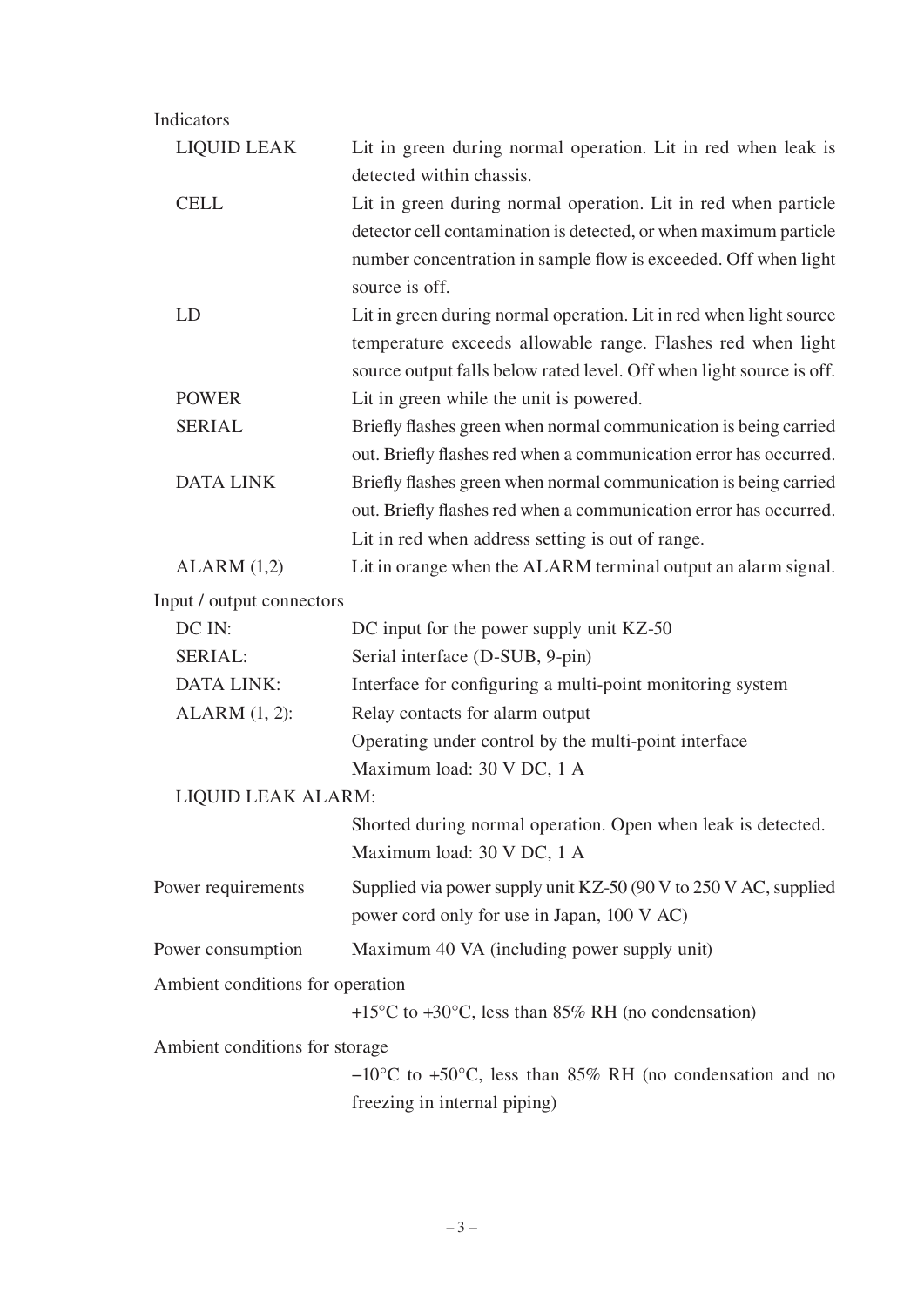| Indicators                       |                                                                                                                                                                                                           |
|----------------------------------|-----------------------------------------------------------------------------------------------------------------------------------------------------------------------------------------------------------|
| <b>LIQUID LEAK</b>               | Lit in green during normal operation. Lit in red when leak is<br>detected within chassis.                                                                                                                 |
| <b>CELL</b>                      | Lit in green during normal operation. Lit in red when particle                                                                                                                                            |
|                                  | detector cell contamination is detected, or when maximum particle<br>number concentration in sample flow is exceeded. Off when light<br>source is off.                                                    |
| LD                               | Lit in green during normal operation. Lit in red when light source<br>temperature exceeds allowable range. Flashes red when light<br>source output falls below rated level. Off when light source is off. |
| <b>POWER</b>                     | Lit in green while the unit is powered.                                                                                                                                                                   |
| <b>SERIAL</b>                    | Briefly flashes green when normal communication is being carried<br>out. Briefly flashes red when a communication error has occurred.                                                                     |
| <b>DATA LINK</b>                 | Briefly flashes green when normal communication is being carried<br>out. Briefly flashes red when a communication error has occurred.<br>Lit in red when address setting is out of range.                 |
| ALARM (1,2)                      | Lit in orange when the ALARM terminal output an alarm signal.                                                                                                                                             |
| Input / output connectors        |                                                                                                                                                                                                           |
| DC IN:                           | DC input for the power supply unit KZ-50                                                                                                                                                                  |
| SERIAL:                          | Serial interface (D-SUB, 9-pin)                                                                                                                                                                           |
| <b>DATA LINK:</b>                | Interface for configuring a multi-point monitoring system                                                                                                                                                 |
| $ALARM$ $(1, 2)$ :               | Relay contacts for alarm output                                                                                                                                                                           |
|                                  | Operating under control by the multi-point interface<br>Maximum load: 30 V DC, 1 A                                                                                                                        |
| LIQUID LEAK ALARM:               |                                                                                                                                                                                                           |
|                                  | Shorted during normal operation. Open when leak is detected.<br>Maximum load: 30 V DC, 1 A                                                                                                                |
| Power requirements               | Supplied via power supply unit KZ-50 (90 V to 250 V AC, supplied<br>power cord only for use in Japan, 100 V AC)                                                                                           |
| Power consumption                | Maximum 40 VA (including power supply unit)                                                                                                                                                               |
| Ambient conditions for operation |                                                                                                                                                                                                           |
|                                  | +15 $\rm{^{\circ}C}$ to +30 $\rm{^{\circ}C}$ , less than 85% RH (no condensation)                                                                                                                         |
| Ambient conditions for storage   |                                                                                                                                                                                                           |
|                                  | $-10^{\circ}$ C to +50 $^{\circ}$ C, less than 85% RH (no condensation and no                                                                                                                             |
|                                  | freezing in internal piping)                                                                                                                                                                              |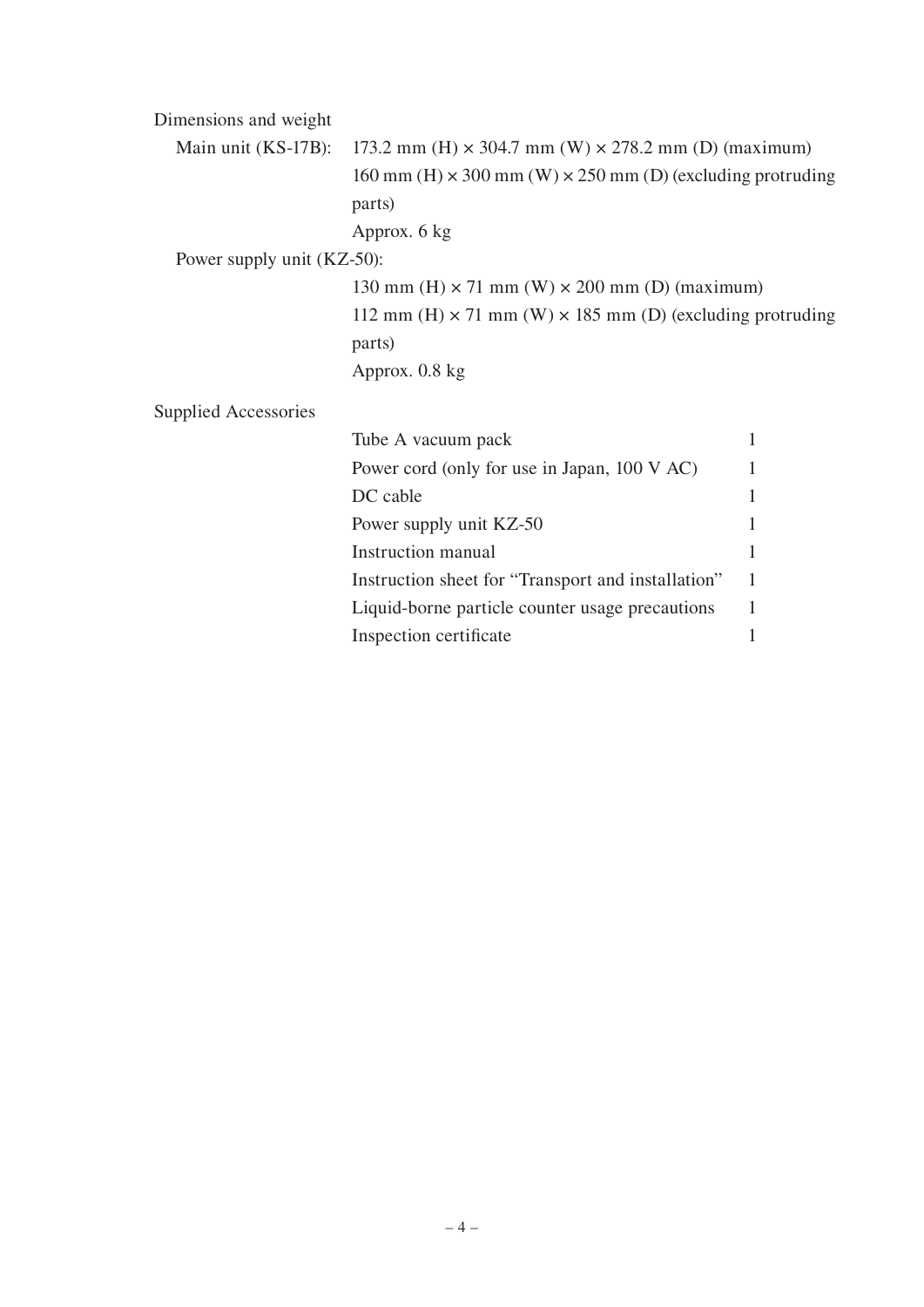| Dimensions and weight       |                                                                                    |   |
|-----------------------------|------------------------------------------------------------------------------------|---|
| Main unit (KS-17B):         | 173.2 mm (H) $\times$ 304.7 mm (W) $\times$ 278.2 mm (D) (maximum)                 |   |
|                             | $160 \text{ mm}$ (H) $\times$ 300 mm (W) $\times$ 250 mm (D) (excluding protruding |   |
|                             | parts)                                                                             |   |
|                             | Approx. 6 kg                                                                       |   |
| Power supply unit (KZ-50):  |                                                                                    |   |
|                             | 130 mm (H) $\times$ 71 mm (W) $\times$ 200 mm (D) (maximum)                        |   |
|                             | 112 mm (H) $\times$ 71 mm (W) $\times$ 185 mm (D) (excluding protruding            |   |
|                             | parts)                                                                             |   |
|                             | Approx. 0.8 kg                                                                     |   |
| <b>Supplied Accessories</b> |                                                                                    |   |
|                             | Tube A vacuum pack                                                                 | 1 |
|                             | Power cord (only for use in Japan, 100 V AC)                                       | 1 |
|                             | DC cable                                                                           | 1 |
|                             | Power supply unit KZ-50                                                            | 1 |
|                             | <b>Instruction manual</b>                                                          | 1 |
|                             | Instruction sheet for "Transport and installation"                                 | 1 |
|                             | Liquid-borne particle counter usage precautions                                    | 1 |
|                             | Inspection certificate                                                             | 1 |
|                             |                                                                                    |   |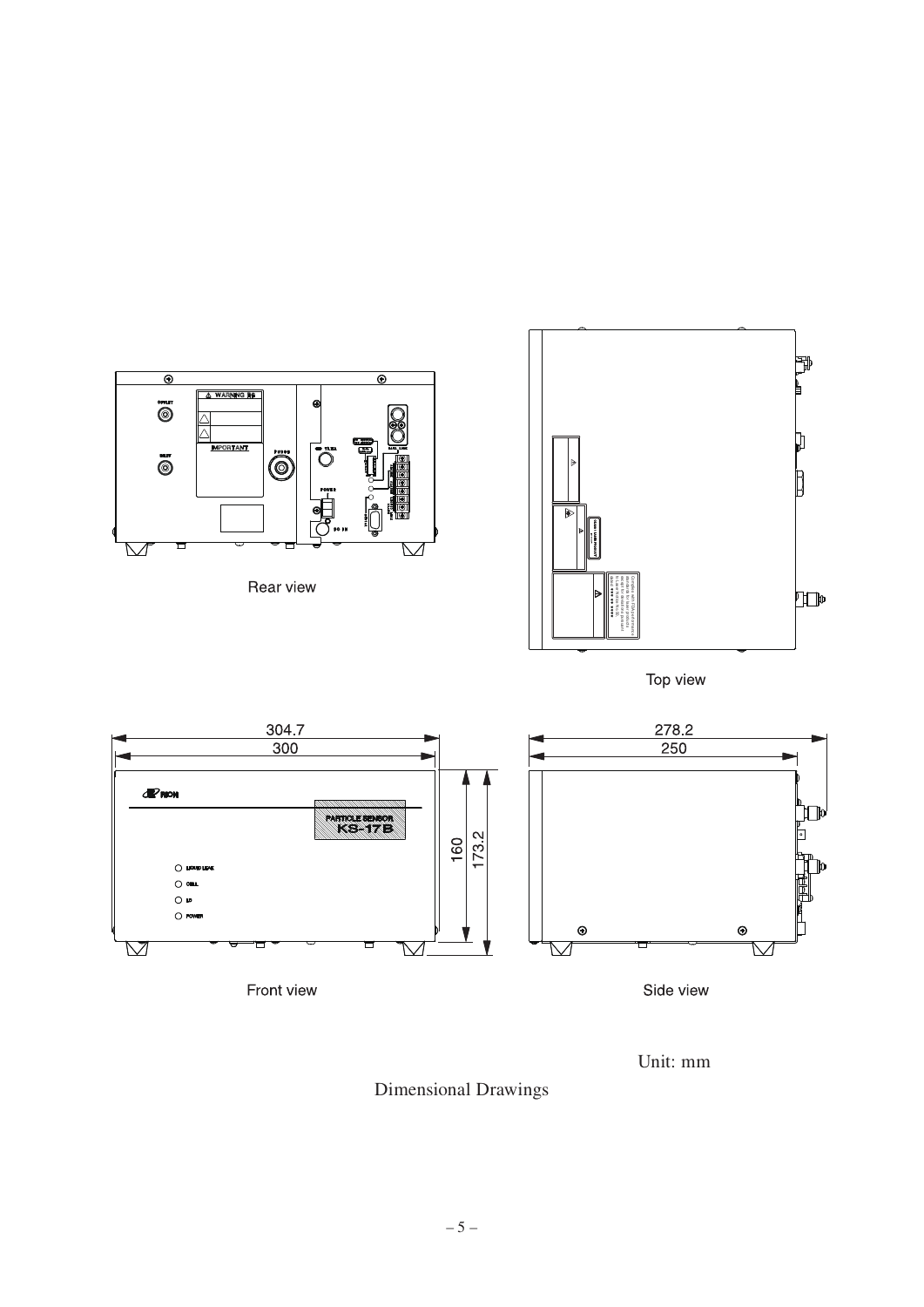

Front view

Side view

Unit: mm